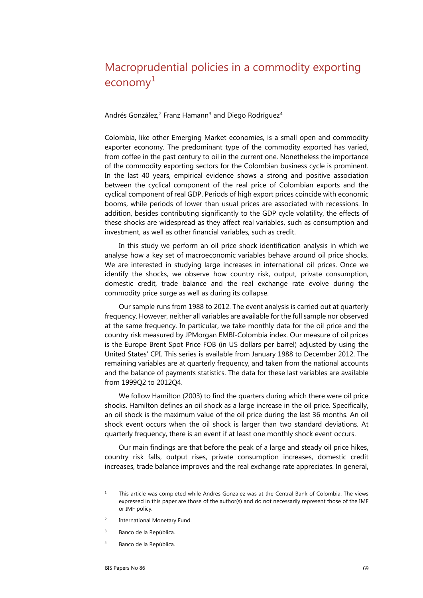## Macroprudential policies in a commodity exporting  $e$ conomy $<sup>1</sup>$  $<sup>1</sup>$  $<sup>1</sup>$ </sup>

Andrés González,<sup>[2](#page-0-1)</sup> Franz Hamann<sup>[3](#page-0-2)</sup> and Diego Rodríguez<sup>[4](#page-0-3)</sup>

Colombia, like other Emerging Market economies, is a small open and commodity exporter economy. The predominant type of the commodity exported has varied, from coffee in the past century to oil in the current one. Nonetheless the importance of the commodity exporting sectors for the Colombian business cycle is prominent. In the last 40 years, empirical evidence shows a strong and positive association between the cyclical component of the real price of Colombian exports and the cyclical component of real GDP. Periods of high export prices coincide with economic booms, while periods of lower than usual prices are associated with recessions. In addition, besides contributing significantly to the GDP cycle volatility, the effects of these shocks are widespread as they affect real variables, such as consumption and investment, as well as other financial variables, such as credit.

In this study we perform an oil price shock identification analysis in which we analyse how a key set of macroeconomic variables behave around oil price shocks. We are interested in studying large increases in international oil prices. Once we identify the shocks, we observe how country risk, output, private consumption, domestic credit, trade balance and the real exchange rate evolve during the commodity price surge as well as during its collapse.

Our sample runs from 1988 to 2012. The event analysis is carried out at quarterly frequency. However, neither all variables are available for the full sample nor observed at the same frequency. In particular, we take monthly data for the oil price and the country risk measured by JPMorgan EMBI-Colombia index. Our measure of oil prices is the Europe Brent Spot Price FOB (in US dollars per barrel) adjusted by using the United States' CPI. This series is available from January 1988 to December 2012. The remaining variables are at quarterly frequency, and taken from the national accounts and the balance of payments statistics. The data for these last variables are available from 1999Q2 to 2012Q4.

We follow Hamilton (2003) to find the quarters during which there were oil price shocks. Hamilton defines an oil shock as a large increase in the oil price. Specifically, an oil shock is the maximum value of the oil price during the last 36 months. An oil shock event occurs when the oil shock is larger than two standard deviations. At quarterly frequency, there is an event if at least one monthly shock event occurs.

Our main findings are that before the peak of a large and steady oil price hikes, country risk falls, output rises, private consumption increases, domestic credit increases, trade balance improves and the real exchange rate appreciates. In general,

- <span id="page-0-1"></span> $2$  International Monetary Fund.
- <span id="page-0-2"></span><sup>3</sup> Banco de la República.
- <span id="page-0-3"></span><sup>4</sup> Banco de la República.

<span id="page-0-0"></span><sup>&</sup>lt;sup>1</sup> This article was completed while Andres Gonzalez was at the Central Bank of Colombia. The views expressed in this paper are those of the author(s) and do not necessarily represent those of the IMF or IMF policy.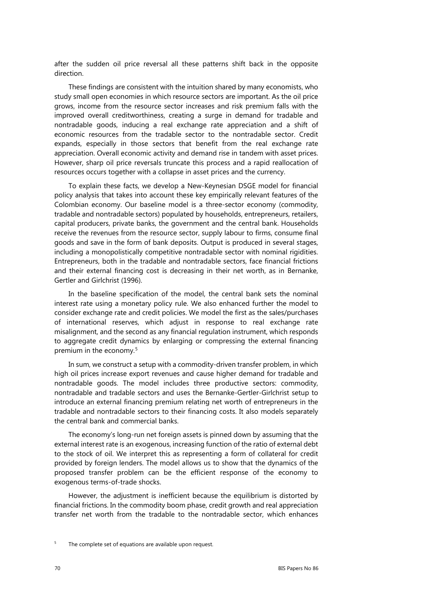after the sudden oil price reversal all these patterns shift back in the opposite direction.

These findings are consistent with the intuition shared by many economists, who study small open economies in which resource sectors are important. As the oil price grows, income from the resource sector increases and risk premium falls with the improved overall creditworthiness, creating a surge in demand for tradable and nontradable goods, inducing a real exchange rate appreciation and a shift of economic resources from the tradable sector to the nontradable sector. Credit expands, especially in those sectors that benefit from the real exchange rate appreciation. Overall economic activity and demand rise in tandem with asset prices. However, sharp oil price reversals truncate this process and a rapid reallocation of resources occurs together with a collapse in asset prices and the currency.

To explain these facts, we develop a New-Keynesian DSGE model for financial policy analysis that takes into account these key empirically relevant features of the Colombian economy. Our baseline model is a three-sector economy (commodity, tradable and nontradable sectors) populated by households, entrepreneurs, retailers, capital producers, private banks, the government and the central bank. Households receive the revenues from the resource sector, supply labour to firms, consume final goods and save in the form of bank deposits. Output is produced in several stages, including a monopolistically competitive nontradable sector with nominal rigidities. Entrepreneurs, both in the tradable and nontradable sectors, face financial frictions and their external financing cost is decreasing in their net worth, as in Bernanke, Gertler and Girlchrist (1996).

In the baseline specification of the model, the central bank sets the nominal interest rate using a monetary policy rule. We also enhanced further the model to consider exchange rate and credit policies. We model the first as the sales/purchases of international reserves, which adjust in response to real exchange rate misalignment, and the second as any financial regulation instrument, which responds to aggregate credit dynamics by enlarging or compressing the external financing premium in the economy.[5](#page-1-0)

In sum, we construct a setup with a commodity-driven transfer problem, in which high oil prices increase export revenues and cause higher demand for tradable and nontradable goods. The model includes three productive sectors: commodity, nontradable and tradable sectors and uses the Bernanke-Gertler-Girlchrist setup to introduce an external financing premium relating net worth of entrepreneurs in the tradable and nontradable sectors to their financing costs. It also models separately the central bank and commercial banks.

The economy's long-run net foreign assets is pinned down by assuming that the external interest rate is an exogenous, increasing function of the ratio of external debt to the stock of oil. We interpret this as representing a form of collateral for credit provided by foreign lenders. The model allows us to show that the dynamics of the proposed transfer problem can be the efficient response of the economy to exogenous terms-of-trade shocks.

However, the adjustment is inefficient because the equilibrium is distorted by financial frictions. In the commodity boom phase, credit growth and real appreciation transfer net worth from the tradable to the nontradable sector, which enhances

<span id="page-1-0"></span>The complete set of equations are available upon request.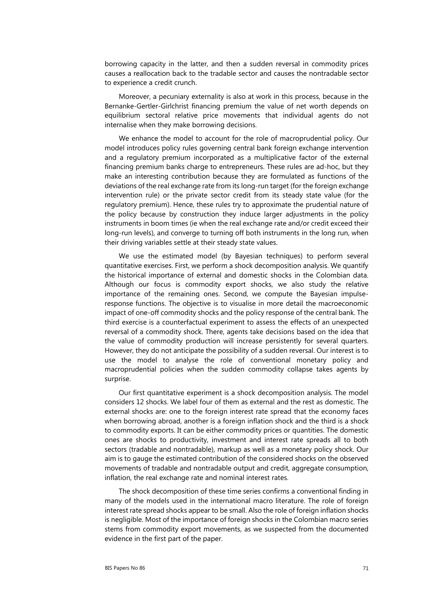borrowing capacity in the latter, and then a sudden reversal in commodity prices causes a reallocation back to the tradable sector and causes the nontradable sector to experience a credit crunch.

Moreover, a pecuniary externality is also at work in this process, because in the Bernanke-Gertler-Girlchrist financing premium the value of net worth depends on equilibrium sectoral relative price movements that individual agents do not internalise when they make borrowing decisions.

We enhance the model to account for the role of macroprudential policy. Our model introduces policy rules governing central bank foreign exchange intervention and a regulatory premium incorporated as a multiplicative factor of the external financing premium banks charge to entrepreneurs. These rules are ad-hoc, but they make an interesting contribution because they are formulated as functions of the deviations of the real exchange rate from its long-run target (for the foreign exchange intervention rule) or the private sector credit from its steady state value (for the regulatory premium). Hence, these rules try to approximate the prudential nature of the policy because by construction they induce larger adjustments in the policy instruments in boom times (ie when the real exchange rate and/or credit exceed their long-run levels), and converge to turning off both instruments in the long run, when their driving variables settle at their steady state values.

We use the estimated model (by Bayesian techniques) to perform several quantitative exercises. First, we perform a shock decomposition analysis. We quantify the historical importance of external and domestic shocks in the Colombian data. Although our focus is commodity export shocks, we also study the relative importance of the remaining ones. Second, we compute the Bayesian impulseresponse functions. The objective is to visualise in more detail the macroeconomic impact of one-off commodity shocks and the policy response of the central bank. The third exercise is a counterfactual experiment to assess the effects of an unexpected reversal of a commodity shock. There, agents take decisions based on the idea that the value of commodity production will increase persistently for several quarters. However, they do not anticipate the possibility of a sudden reversal. Our interest is to use the model to analyse the role of conventional monetary policy and macroprudential policies when the sudden commodity collapse takes agents by surprise.

Our first quantitative experiment is a shock decomposition analysis. The model considers 12 shocks. We label four of them as external and the rest as domestic. The external shocks are: one to the foreign interest rate spread that the economy faces when borrowing abroad, another is a foreign inflation shock and the third is a shock to commodity exports. It can be either commodity prices or quantities. The domestic ones are shocks to productivity, investment and interest rate spreads all to both sectors (tradable and nontradable), markup as well as a monetary policy shock. Our aim is to gauge the estimated contribution of the considered shocks on the observed movements of tradable and nontradable output and credit, aggregate consumption, inflation, the real exchange rate and nominal interest rates.

The shock decomposition of these time series confirms a conventional finding in many of the models used in the international macro literature. The role of foreign interest rate spread shocks appear to be small. Also the role of foreign inflation shocks is negligible. Most of the importance of foreign shocks in the Colombian macro series stems from commodity export movements, as we suspected from the documented evidence in the first part of the paper.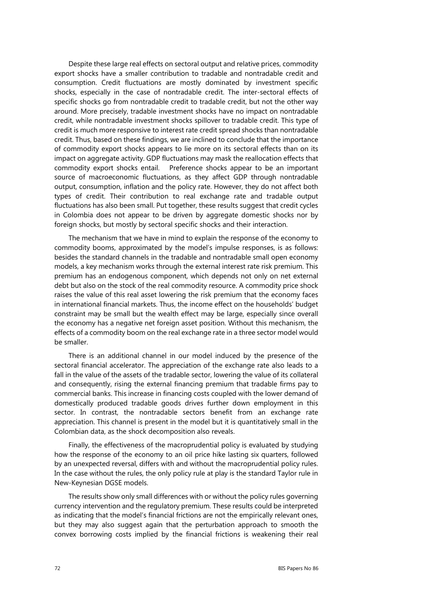Despite these large real effects on sectoral output and relative prices, commodity export shocks have a smaller contribution to tradable and nontradable credit and consumption. Credit fluctuations are mostly dominated by investment specific shocks, especially in the case of nontradable credit. The inter-sectoral effects of specific shocks go from nontradable credit to tradable credit, but not the other way around. More precisely, tradable investment shocks have no impact on nontradable credit, while nontradable investment shocks spillover to tradable credit. This type of credit is much more responsive to interest rate credit spread shocks than nontradable credit. Thus, based on these findings, we are inclined to conclude that the importance of commodity export shocks appears to lie more on its sectoral effects than on its impact on aggregate activity. GDP fluctuations may mask the reallocation effects that commodity export shocks entail. Preference shocks appear to be an important source of macroeconomic fluctuations, as they affect GDP through nontradable output, consumption, inflation and the policy rate. However, they do not affect both types of credit. Their contribution to real exchange rate and tradable output fluctuations has also been small. Put together, these results suggest that credit cycles in Colombia does not appear to be driven by aggregate domestic shocks nor by foreign shocks, but mostly by sectoral specific shocks and their interaction.

The mechanism that we have in mind to explain the response of the economy to commodity booms, approximated by the model's impulse responses, is as follows: besides the standard channels in the tradable and nontradable small open economy models, a key mechanism works through the external interest rate risk premium. This premium has an endogenous component, which depends not only on net external debt but also on the stock of the real commodity resource. A commodity price shock raises the value of this real asset lowering the risk premium that the economy faces in international financial markets. Thus, the income effect on the households' budget constraint may be small but the wealth effect may be large, especially since overall the economy has a negative net foreign asset position. Without this mechanism, the effects of a commodity boom on the real exchange rate in a three sector model would be smaller.

There is an additional channel in our model induced by the presence of the sectoral financial accelerator. The appreciation of the exchange rate also leads to a fall in the value of the assets of the tradable sector, lowering the value of its collateral and consequently, rising the external financing premium that tradable firms pay to commercial banks. This increase in financing costs coupled with the lower demand of domestically produced tradable goods drives further down employment in this sector. In contrast, the nontradable sectors benefit from an exchange rate appreciation. This channel is present in the model but it is quantitatively small in the Colombian data, as the shock decomposition also reveals.

Finally, the effectiveness of the macroprudential policy is evaluated by studying how the response of the economy to an oil price hike lasting six quarters, followed by an unexpected reversal, differs with and without the macroprudential policy rules. In the case without the rules, the only policy rule at play is the standard Taylor rule in New-Keynesian DGSE models.

The results show only small differences with or without the policy rules governing currency intervention and the regulatory premium. These results could be interpreted as indicating that the model's financial frictions are not the empirically relevant ones, but they may also suggest again that the perturbation approach to smooth the convex borrowing costs implied by the financial frictions is weakening their real